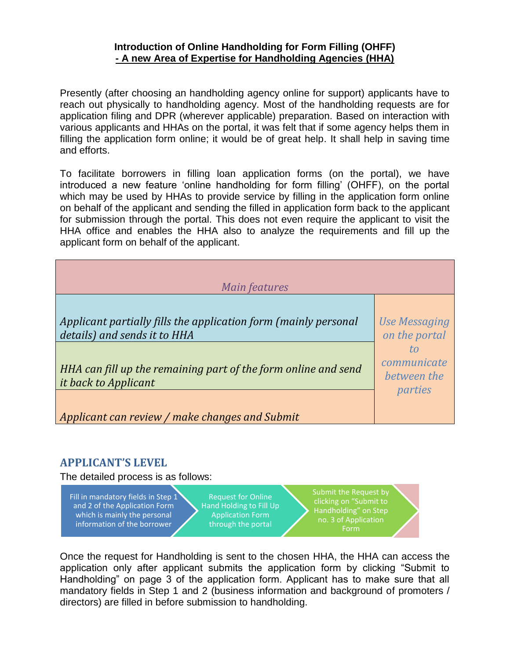## **Introduction of Online Handholding for Form Filling (OHFF) - A new Area of Expertise for Handholding Agencies (HHA)**

Presently (after choosing an handholding agency online for support) applicants have to reach out physically to handholding agency. Most of the handholding requests are for application filing and DPR (wherever applicable) preparation. Based on interaction with various applicants and HHAs on the portal, it was felt that if some agency helps them in filling the application form online; it would be of great help. It shall help in saving time and efforts.

To facilitate borrowers in filling loan application forms (on the portal), we have introduced a new feature 'online handholding for form filling' (OHFF), on the portal which may be used by HHAs to provide service by filling in the application form online on behalf of the applicant and sending the filled in application form back to the applicant for submission through the portal. This does not even require the applicant to visit the HHA office and enables the HHA also to analyze the requirements and fill up the applicant form on behalf of the applicant.

| Main features                                                   |                      |  |  |  |
|-----------------------------------------------------------------|----------------------|--|--|--|
| Applicant partially fills the application form (mainly personal | <b>Use Messaging</b> |  |  |  |
| details) and sends it to HHA                                    | on the portal        |  |  |  |
| HHA can fill up the remaining part of the form online and send  | communicate          |  |  |  |
| it back to Applicant                                            | between the          |  |  |  |
| Applicant can review / make changes and Submit                  | parties              |  |  |  |

## **APPLICANT'S LEVEL**

The detailed process is as follows:

Fill in mandatory fields in Step 1 and 2 of the Application Form which is mainly the personal information of the borrower

Request for Online Hand Holding to Fill Up Application Form through the portal

Submit the Request by clicking on "Submit to Handholding" on Step no. 3 of Application Form

Once the request for Handholding is sent to the chosen HHA, the HHA can access the application only after applicant submits the application form by clicking "Submit to Handholding" on page 3 of the application form. Applicant has to make sure that all mandatory fields in Step 1 and 2 (business information and background of promoters / directors) are filled in before submission to handholding.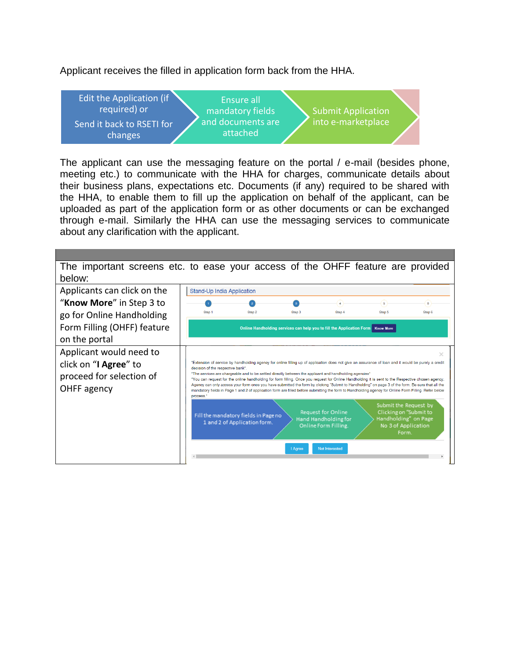Applicant receives the filled in application form back from the HHA.



The applicant can use the messaging feature on the portal / e-mail (besides phone, meeting etc.) to communicate with the HHA for charges, communicate details about their business plans, expectations etc. Documents (if any) required to be shared with the HHA, to enable them to fill up the application on behalf of the applicant, can be uploaded as part of the application form or as other documents or can be exchanged through e-mail. Similarly the HHA can use the messaging services to communicate about any clarification with the applicant.

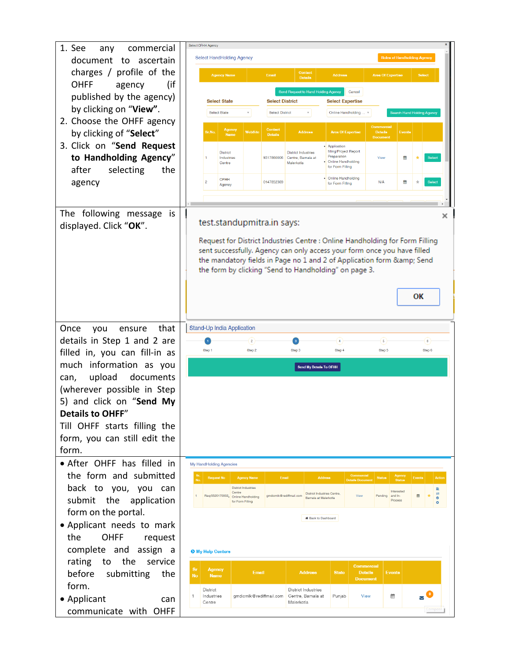| 1. See<br>commercial<br>any                     | Select OFHH Agency                                                                                                                                               |                                                                                |
|-------------------------------------------------|------------------------------------------------------------------------------------------------------------------------------------------------------------------|--------------------------------------------------------------------------------|
| document to ascertain                           | <b>Select HandHolding Agency</b>                                                                                                                                 | <b>Roles of Handholding Agency</b>                                             |
| charges / profile of the                        | Contact<br><b>Agency Name</b><br>Email<br><b>Address</b>                                                                                                         | <b>Area Of Expertise</b><br><b>Select</b>                                      |
| <b>OHFF</b><br>(if<br>agency                    | <b>Details</b>                                                                                                                                                   |                                                                                |
| published by the agency)                        | Send Request to Hand Holding Agency<br>Cancel                                                                                                                    |                                                                                |
| by clicking on "View".                          | <b>Select District</b><br><b>Select State</b><br><b>Select Expertise</b><br>Select State<br><b>Select District</b><br>Online Handholding                         | Search Hand Holding Agency                                                     |
| 2. Choose the OHFF agency                       |                                                                                                                                                                  |                                                                                |
| by clicking of "Select"                         | Contact<br><b>Agency</b><br>WebSite<br><b>Address</b><br><b>Area Of Expertise</b><br>Sr.No.<br><b>Name</b><br><b>Details</b>                                     | <b>Commercial</b><br><b>Details</b><br>Events<br><b>Document</b>               |
| 3. Click on "Send Request                       | • Application                                                                                                                                                    |                                                                                |
| to Handholding Agency"                          | filling/Project Report<br><b>District</b><br><b>District Industries</b><br>Preparation<br>Industries<br>9317860006<br>Centre, Barnala at<br>• Online Handholding | Select<br>View<br>≝                                                            |
| after<br>selecting<br>the                       | Malerkotla<br>Centre<br>for Form Filling                                                                                                                         |                                                                                |
| agency                                          | • Online Handholding<br><b>OFHH</b><br>$\overline{2}$<br>0147852369<br>for Form Filling<br>Agency                                                                | N/A<br>兽<br>Select                                                             |
|                                                 |                                                                                                                                                                  |                                                                                |
|                                                 |                                                                                                                                                                  |                                                                                |
| The following message<br><b>is</b>              | test.standupmitra.in says:                                                                                                                                       | ×                                                                              |
| displayed. Click "OK".                          |                                                                                                                                                                  |                                                                                |
|                                                 | Request for District Industries Centre : Online Handholding for Form Filling                                                                                     |                                                                                |
|                                                 | sent successfully. Agency can only access your form once you have filled                                                                                         |                                                                                |
|                                                 | the mandatory fields in Page no 1 and 2 of Application form & Send<br>the form by clicking "Send to Handholding" on page 3.                                      |                                                                                |
|                                                 |                                                                                                                                                                  |                                                                                |
|                                                 |                                                                                                                                                                  |                                                                                |
|                                                 |                                                                                                                                                                  | ок                                                                             |
|                                                 |                                                                                                                                                                  |                                                                                |
| Once<br>that<br>you<br>ensure                   | Stand-Up India Application                                                                                                                                       |                                                                                |
| details in Step 1 and 2 are                     | 2<br>$\,$ 3<br>4 <sup>1</sup>                                                                                                                                    | $\overline{\mathbf{5}}$<br>ô                                                   |
| filled in, you can fill-in as                   | Step 1<br>Step 2<br>Step 4<br>Step 3                                                                                                                             | Step 6<br>Step 5                                                               |
| much information as you                         | <b>Send My Details To OFHH</b>                                                                                                                                   |                                                                                |
| upload<br>documents<br>can,                     |                                                                                                                                                                  |                                                                                |
| (wherever possible in Step                      |                                                                                                                                                                  |                                                                                |
| 5) and click on "Send My                        |                                                                                                                                                                  |                                                                                |
| <b>Details to OHFF"</b>                         |                                                                                                                                                                  |                                                                                |
| Till OHFF starts filling the                    |                                                                                                                                                                  |                                                                                |
| form, you can still edit the                    |                                                                                                                                                                  |                                                                                |
|                                                 |                                                                                                                                                                  |                                                                                |
| form.                                           |                                                                                                                                                                  |                                                                                |
| • After OHFF has filled in                      | My HandHolding Agencies                                                                                                                                          |                                                                                |
| the form and submitted                          | <b>Request No</b><br><b>Agency Name</b><br>Email<br><b>Address</b>                                                                                               | Commercial<br><b>Agency</b><br><b>Status</b><br>Events<br>Actio                |
| back to you, you can                            | No.<br><b>District Industries</b>                                                                                                                                | <b>Details Document</b><br><b>Status</b><br>È.<br>Interested                   |
| submit the application                          | Centre<br><b>District Industries Centre</b><br>Req/0520170002. Online Handholding<br>amdicmlk@rediffmail.com<br>Barnala at Malerkotla<br>for Form Filling        | $\equiv$<br>曲<br>View<br>Pending<br>and In-<br>$\bullet$<br>Process<br>$\circ$ |
| form on the portal.                             |                                                                                                                                                                  |                                                                                |
|                                                 | <b># Back to Dashboard</b>                                                                                                                                       |                                                                                |
| • Applicant needs to mark<br>the<br><b>OHFF</b> |                                                                                                                                                                  |                                                                                |
| request                                         |                                                                                                                                                                  |                                                                                |
| complete and assign a                           | <b>O</b> My Help Centers                                                                                                                                         |                                                                                |
| the<br>rating<br>to<br>service                  | <b>Sr</b><br><b>Agency</b><br><b>Email</b><br><b>Address</b><br><b>State</b><br><b>No</b><br><b>Name</b>                                                         | <b>Commercial</b><br><b>Details</b><br><b>Events</b>                           |
| before<br>submitting<br>the                     |                                                                                                                                                                  | <b>Document</b>                                                                |
| form.                                           | District<br>District Industries<br>Industries<br>qmdicmlk@rediffmail.com<br>Centre, Barnala at<br>Punjab                                                         | $\overline{\mathbf{v}}$<br>巤<br>View                                           |
| • Applicant<br>can<br>communicate with OHFF     | Centre<br>Malerkotla                                                                                                                                             |                                                                                |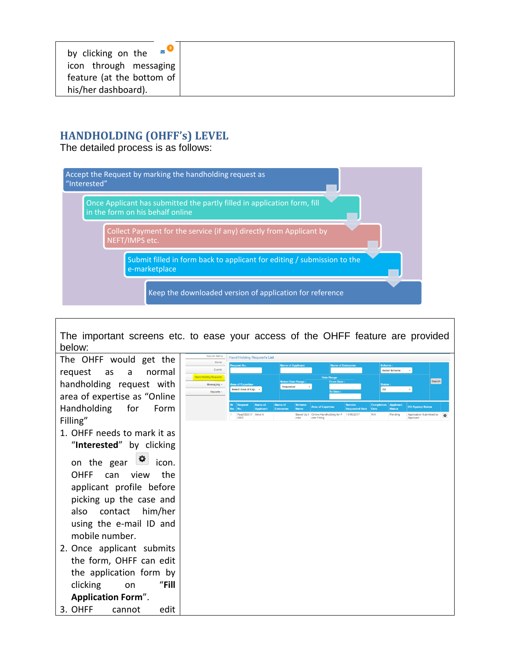## **HANDHOLDING (OHFF's) LEVEL**

The detailed process is as follows:



The important screens etc. to ease your access of the OHFF feature are provided below:

The OHFF would get the request as a normal handholding request with area of expertise as "Online Handholding for Form Filling"

1. OHFF needs to mark it as "**Interested**" by clicking

on the gear  $\mathbf{P}$  icon. OHFF can view the applicant profile before picking up the case and also contact him/her using the e-mail ID and mobile number.

2. Once applicant submits the form, OHFF can edit the application form by clicking on "**Fill Application Form**".

**Hand Holding Request's List** Search  $\frac{1}{2}$  Area of Eve  $\frac{1}{2}$ 

3. OHFF cannot edit